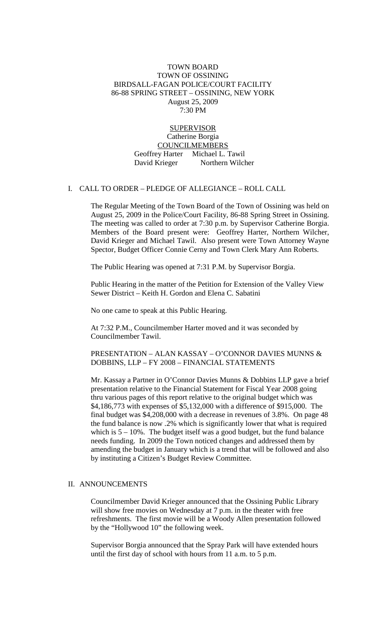#### TOWN BOARD TOWN OF OSSINING BIRDSALL-FAGAN POLICE/COURT FACILITY 86-88 SPRING STREET – OSSINING, NEW YORK August 25, 2009 7:30 PM

**SUPERVISOR** Catherine Borgia **COUNCILMEMBERS**  Geoffrey Harter Michael L. Tawil David Krieger Northern Wilcher

#### I. CALL TO ORDER – PLEDGE OF ALLEGIANCE – ROLL CALL

The Regular Meeting of the Town Board of the Town of Ossining was held on August 25, 2009 in the Police/Court Facility, 86-88 Spring Street in Ossining. The meeting was called to order at 7:30 p.m. by Supervisor Catherine Borgia. Members of the Board present were: Geoffrey Harter, Northern Wilcher, David Krieger and Michael Tawil. Also present were Town Attorney Wayne Spector, Budget Officer Connie Cerny and Town Clerk Mary Ann Roberts.

The Public Hearing was opened at 7:31 P.M. by Supervisor Borgia.

Public Hearing in the matter of the Petition for Extension of the Valley View Sewer District – Keith H. Gordon and Elena C. Sabatini

No one came to speak at this Public Hearing.

At 7:32 P.M., Councilmember Harter moved and it was seconded by Councilmember Tawil.

PRESENTATION – ALAN KASSAY – O'CONNOR DAVIES MUNNS & DOBBINS, LLP – FY 2008 – FINANCIAL STATEMENTS

Mr. Kassay a Partner in O'Connor Davies Munns & Dobbins LLP gave a brief presentation relative to the Financial Statement for Fiscal Year 2008 going thru various pages of this report relative to the original budget which was \$4,186,773 with expenses of \$5,132,000 with a difference of \$915,000. The final budget was \$4,208,000 with a decrease in revenues of 3.8%. On page 48 the fund balance is now .2% which is significantly lower that what is required which is  $5 - 10\%$ . The budget itself was a good budget, but the fund balance needs funding. In 2009 the Town noticed changes and addressed them by amending the budget in January which is a trend that will be followed and also by instituting a Citizen's Budget Review Committee.

#### II. ANNOUNCEMENTS

Councilmember David Krieger announced that the Ossining Public Library will show free movies on Wednesday at 7 p.m. in the theater with free refreshments. The first movie will be a Woody Allen presentation followed by the "Hollywood 10" the following week.

Supervisor Borgia announced that the Spray Park will have extended hours until the first day of school with hours from 11 a.m. to 5 p.m.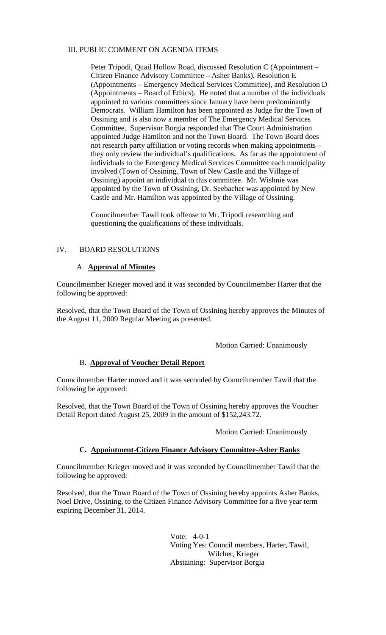### III. PUBLIC COMMENT ON AGENDA ITEMS

Peter Tripodi, Quail Hollow Road, discussed Resolution C (Appointment – Citizen Finance Advisory Committee – Asher Banks), Resolution E (Appointments – Emergency Medical Services Committee), and Resolution D (Appointments – Board of Ethics). He noted that a number of the individuals appointed to various committees since January have been predominantly Democrats. William Hamilton has been appointed as Judge for the Town of Ossining and is also now a member of The Emergency Medical Services Committee. Supervisor Borgia responded that The Court Administration appointed Judge Hamilton and not the Town Board. The Town Board does not research party affiliation or voting records when making appointments – they only review the individual's qualifications. As far as the appointment of individuals to the Emergency Medical Services Committee each municipality involved (Town of Ossining, Town of New Castle and the Village of Ossining) appoint an individual to this committee. Mr. Wishnie was appointed by the Town of Ossining, Dr. Seebacher was appointed by New Castle and Mr. Hamilton was appointed by the Village of Ossining.

Councilmember Tawil took offense to Mr. Tripodi researching and questioning the qualifications of these individuals.

#### IV. BOARD RESOLUTIONS

## A. **Approval of Minutes**

Councilmember Krieger moved and it was seconded by Councilmember Harter that the following be approved:

Resolved, that the Town Board of the Town of Ossining hereby approves the Minutes of the August 11, 2009 Regular Meeting as presented.

Motion Carried: Unanimously

# B**. Approval of Voucher Detail Report**

Councilmember Harter moved and it was seconded by Councilmember Tawil that the following be approved:

Resolved, that the Town Board of the Town of Ossining hereby approves the Voucher Detail Report dated August 25, 2009 in the amount of \$152,243.72.

Motion Carried: Unanimously

# **C. Appointment-Citizen Finance Advisory Committee-Asher Banks**

Councilmember Krieger moved and it was seconded by Councilmember Tawil that the following be approved:

Resolved, that the Town Board of the Town of Ossining hereby appoints Asher Banks, Noel Drive, Ossining, to the Citizen Finance Advisory Committee for a five year term expiring December 31, 2014.

> Vote: 4-0-1 Voting Yes: Council members, Harter, Tawil, Wilcher, Krieger Abstaining: Supervisor Borgia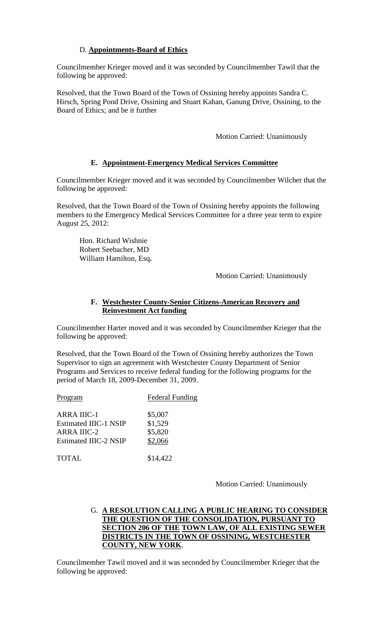## D. **Appointments-Board of Ethics**

Councilmember Krieger moved and it was seconded by Councilmember Tawil that the following be approved:

Resolved, that the Town Board of the Town of Ossining hereby appoints Sandra C. Hirsch, Spring Pond Drive, Ossining and Stuart Kahan, Ganung Drive, Ossining, to the Board of Ethics; and be it further

Motion Carried: Unanimously

## **E. Appointment-Emergency Medical Services Committee**

Councilmember Krieger moved and it was seconded by Councilmember Wilcher that the following be approved:

Resolved, that the Town Board of the Town of Ossining hereby appoints the following members to the Emergency Medical Services Committee for a three year term to expire August 25, 2012:

Hon. Richard Wishnie Robert Seebacher, MD William Hamilton, Esq**.**

Motion Carried: Unanimously

## **F. Westchester County-Senior Citizens-American Recovery and Reinvestment Act funding**

Councilmember Harter moved and it was seconded by Councilmember Krieger that the following be approved:

Resolved, that the Town Board of the Town of Ossining hereby authorizes the Town Supervisor to sign an agreement with Westchester County Department of Senior Programs and Services to receive federal funding for the following programs for the period of March 18, 2009-December 31, 2009.

Program Federal Funding

| <b>ARRA IIIC-1</b>           | \$5,007 |
|------------------------------|---------|
| <b>Estimated IIIC-1 NSIP</b> | \$1,529 |
| <b>ARRA IIIC-2</b>           | \$5,820 |
| <b>Estimated IIIC-2 NSIP</b> | \$2,066 |
|                              |         |

TOTAL \$14,422

Motion Carried: Unanimously

### G. **A RESOLUTION CALLING A PUBLIC HEARING TO CONSIDER THE QUESTION OF THE CONSOLIDATION, PURSUANT TO SECTION 206 OF THE TOWN LAW, OF ALL EXISTING SEWER DISTRICTS IN THE TOWN OF OSSINING, WESTCHESTER COUNTY, NEW YORK**.

Councilmember Tawil moved and it was seconded by Councilmember Krieger that the following be approved: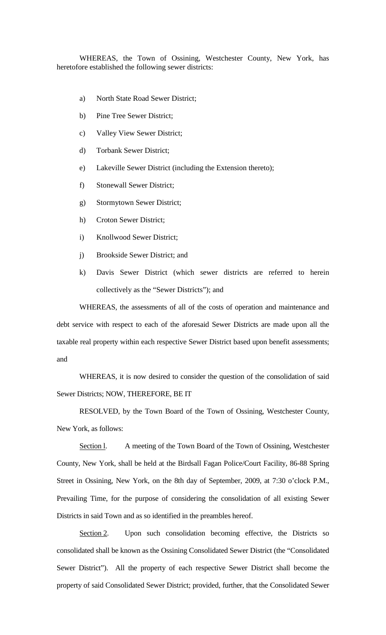WHEREAS, the Town of Ossining, Westchester County, New York, has heretofore established the following sewer districts:

- a) North State Road Sewer District;
- b) Pine Tree Sewer District;
- c) Valley View Sewer District;
- d) Torbank Sewer District;
- e) Lakeville Sewer District (including the Extension thereto);
- f) Stonewall Sewer District;
- g) Stormytown Sewer District;
- h) Croton Sewer District;
- i) Knollwood Sewer District;
- j) Brookside Sewer District; and
- k) Davis Sewer District (which sewer districts are referred to herein collectively as the "Sewer Districts"); and

WHEREAS, the assessments of all of the costs of operation and maintenance and debt service with respect to each of the aforesaid Sewer Districts are made upon all the taxable real property within each respective Sewer District based upon benefit assessments; and

WHEREAS, it is now desired to consider the question of the consolidation of said Sewer Districts; NOW, THEREFORE, BE IT

RESOLVED, by the Town Board of the Town of Ossining, Westchester County, New York, as follows:

Section 1. A meeting of the Town Board of the Town of Ossining, Westchester County, New York, shall be held at the Birdsall Fagan Police/Court Facility, 86-88 Spring Street in Ossining, New York, on the 8th day of September, 2009, at 7:30 o'clock P.M., Prevailing Time, for the purpose of considering the consolidation of all existing Sewer Districts in said Town and as so identified in the preambles hereof.

Section 2. Upon such consolidation becoming effective, the Districts so consolidated shall be known as the Ossining Consolidated Sewer District (the "Consolidated Sewer District"). All the property of each respective Sewer District shall become the property of said Consolidated Sewer District; provided, further, that the Consolidated Sewer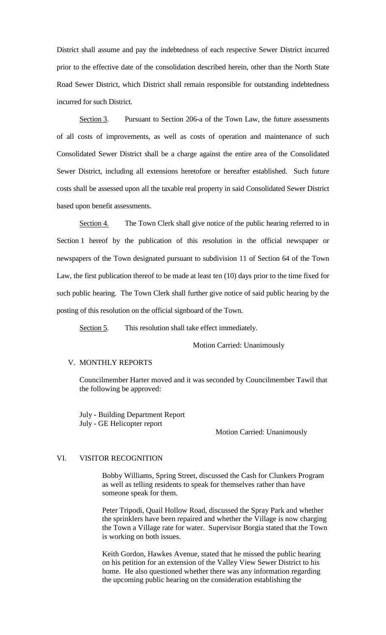District shall assume and pay the indebtedness of each respective Sewer District incurred prior to the effective date of the consolidation described herein, other than the North State Road Sewer District, which District shall remain responsible for outstanding indebtedness incurred for such District.

Section 3. Pursuant to Section 206-a of the Town Law, the future assessments of all costs of improvements, as well as costs of operation and maintenance of such Consolidated Sewer District shall be a charge against the entire area of the Consolidated Sewer District, including all extensions heretofore or hereafter established. Such future costs shall be assessed upon all the taxable real property in said Consolidated Sewer District based upon benefit assessments.

Section 4. The Town Clerk shall give notice of the public hearing referred to in Section 1 hereof by the publication of this resolution in the official newspaper or newspapers of the Town designated pursuant to subdivision 11 of Section 64 of the Town Law, the first publication thereof to be made at least ten (10) days prior to the time fixed for such public hearing. The Town Clerk shall further give notice of said public hearing by the posting of this resolution on the official signboard of the Town.

Section 5. . This resolution shall take effect immediately.

Motion Carried: Unanimously

#### V. MONTHLY REPORTS

Councilmember Harter moved and it was seconded by Councilmember Tawil that the following be approved:

July - Building Department Report July - GE Helicopter report

Motion Carried: Unanimously

#### VI. VISITOR RECOGNITION

Bobby Williams, Spring Street, discussed the Cash for Clunkers Program as well as telling residents to speak for themselves rather than have someone speak for them.

Peter Tripodi, Quail Hollow Road, discussed the Spray Park and whether the sprinklers have been repaired and whether the Village is now charging the Town a Village rate for water. Supervisor Borgia stated that the Town is working on both issues.

Keith Gordon, Hawkes Avenue, stated that he missed the public hearing on his petition for an extension of the Valley View Sewer District to his home. He also questioned whether there was any information regarding the upcoming public hearing on the consideration establishing the